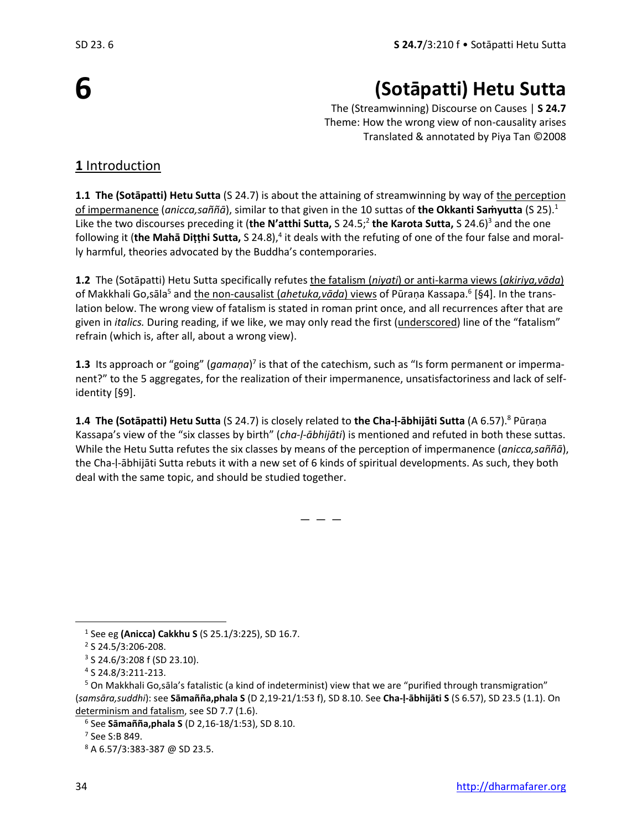**6**

# **(Sotāpatti) Hetu Sutta**

The (Streamwinning) Discourse on Causes | **S 24.7** Theme: How the wrong view of non-causality arises Translated & annotated by Piya Tan ©2008

### **1** Introduction

**1.1 The (Sotāpatti) Hetu Sutta** (S 24.7) is about the attaining of streamwinning by way of the perception of impermanence (*anicca,saññā*), similar to that given in the 10 suttas of **the Okkanti Saṁyutta** (S 25).<sup>1</sup> Like the two discourses preceding it (**the N'atthi Sutta,** S 24.5;<sup>2</sup> **the Karota Sutta,** S 24.6)<sup>3</sup> and the one following it (the Mahā Diṭṭhi Sutta, S 24.8),<sup>4</sup> it deals with the refuting of one of the four false and morally harmful, theories advocated by the Buddha's contemporaries.

**1.2** The (Sotāpatti) Hetu Sutta specifically refutes the fatalism (*niyati*) or anti-karma views (*akiriya,vāda*) of Makkhali Go,sāla<sup>5</sup> and <u>the non-causalist (ahetuka,vāda) views</u> of Pūraṇa Kassapa.<sup>6</sup> [§4]. In the translation below. The wrong view of fatalism is stated in roman print once, and all recurrences after that are given in *italics.* During reading, if we like, we may only read the first (underscored) line of the "fatalism" refrain (which is, after all, about a wrong view).

1.3 Its approach or "going" (*gamaṇa*)<sup>7</sup> is that of the catechism, such as "Is form permanent or impermanent?" to the 5 aggregates, for the realization of their impermanence, unsatisfactoriness and lack of selfidentity [§9].

**1.4 The (Sotāpatti) Hetu Sutta** (S 24.7) is closely related to **the Cha-ḷ-ābhijāti Sutta** (A 6.57).<sup>8</sup> Pūraṇa Kassapa's view of the "six classes by birth" (*cha-ḷ-ābhijāti*) is mentioned and refuted in both these suttas. While the Hetu Sutta refutes the six classes by means of the perception of impermanence (*anicca,saññā*), the Cha-ḷ-ābhijāti Sutta rebuts it with a new set of 6 kinds of spiritual developments. As such, they both deal with the same topic, and should be studied together.

 $-$ 

<sup>1</sup> See eg **(Anicca) Cakkhu S** (S 25.1/3:225), SD 16.7.

<sup>&</sup>lt;sup>2</sup> S 24.5/3:206-208.

<sup>3</sup> S 24.6/3:208 f (SD 23.10).

<sup>4</sup> S 24.8/3:211-213.

<sup>&</sup>lt;sup>5</sup> On Makkhali Go,sāla's fatalistic (a kind of indeterminist) view that we are "purified through transmigration" (*samsāra,suddhi*): see **Sāmañña,phala S** (D 2,19-21/1:53 f), SD 8.10. See **Cha-ḷ-ābhijāti S** (S 6.57), SD 23.5 (1.1). On determinism and fatalism, see SD 7.7 (1.6).

<sup>6</sup> See **Sāmañña,phala S** (D 2,16-18/1:53), SD 8.10.

<sup>7</sup> See S:B 849.

<sup>8</sup> A 6.57/3:383-387 @ SD 23.5.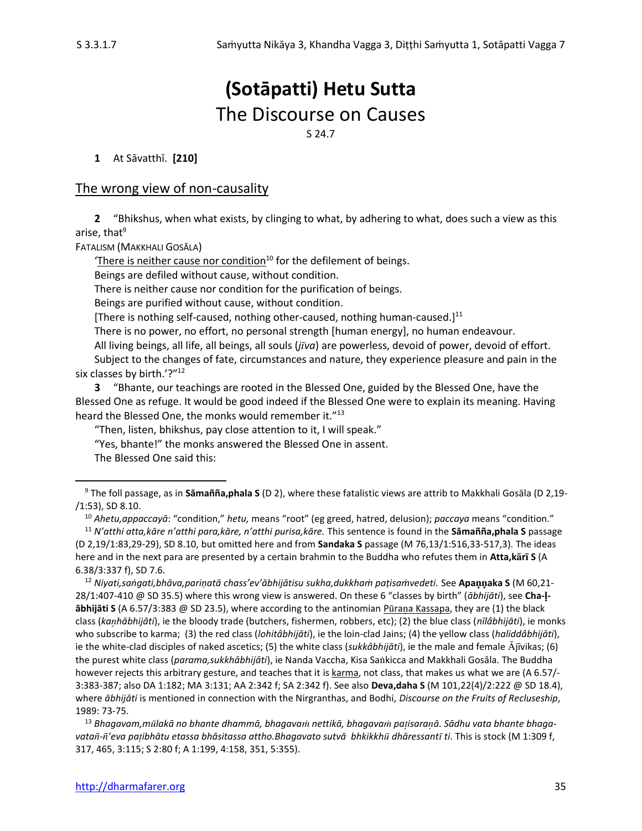## **(Sotāpatti) Hetu Sutta** The Discourse on Causes S 24.7

**1** At Sāvatthī. **[210]**

#### The wrong view of non-causality

**2** "Bhikshus, when what exists, by clinging to what, by adhering to what, does such a view as this arise, that $9$ 

FATALISM (MAKKHALI GOSĀLA)

'There is neither cause nor condition $10$  for the defilement of beings.

Beings are defiled without cause, without condition.

There is neither cause nor condition for the purification of beings.

Beings are purified without cause, without condition.

[There is nothing self-caused, nothing other-caused, nothing human-caused.] $^{11}$ 

There is no power, no effort, no personal strength [human energy], no human endeavour.

All living beings, all life, all beings, all souls (*jva*) are powerless, devoid of power, devoid of effort.

Subject to the changes of fate, circumstances and nature, they experience pleasure and pain in the six classes by birth.'?"<sup>12</sup>

**3** "Bhante, our teachings are rooted in the Blessed One, guided by the Blessed One, have the Blessed One as refuge. It would be good indeed if the Blessed One were to explain its meaning. Having heard the Blessed One, the monks would remember it."<sup>13</sup>

"Then, listen, bhikshus, pay close attention to it, I will speak."

"Yes, bhante!" the monks answered the Blessed One in assent.

The Blessed One said this:

<sup>10</sup> *Ahetu,appaccayā*: "condition," *hetu,* means "root" (eg greed, hatred, delusion); *paccaya* means "condition."

<sup>13</sup> *Bhagavam,mlakā no bhante dhammā, bhagava nettikā, bhagava paisaraā. Sādhu vata bhante bhagavata-'eva paibhātu etassa bhāsitassa attho.Bhagavato sutvā bhkikkh dhāressant ti*. This is stock (M 1:309 f, 317, 465, 3:115; S 2:80 f; A 1:199, 4:158, 351, 5:355).

<sup>9</sup> The foll passage, as in **Sāmañña,phala S** (D 2), where these fatalistic views are attrib to Makkhali Gosāla (D 2,19- /1:53), SD 8.10.

<sup>11</sup> *N'atthi atta,kāre n'atthi para,kāre, n'atthi purisa,kāre.* This sentence is found in the **Sāmañña,phala S** passage (D 2,19/1:83,29-29), SD 8.10, but omitted here and from **Sandaka S** passage (M 76,13/1:516,33-517,3). The ideas here and in the next para are presented by a certain brahmin to the Buddha who refutes them in **Atta,kr S** (A 6.38/3:337 f), SD 7.6.

<sup>12</sup> *Niyati,saṅgati,bhāva,pariṇatā chass'ev'ābhijātisu sukha,dukkhaṁ paṭisaṁvedeti.* See **Apaaka S** (M 60,21- 28/1:407-410 @ SD 35.5) where this wrong view is answered. On these 6 "classes by birth" (*ābhijāti*), see **Cha- ābhijāti S** (A 6.57/3:383 @ SD 23.5), where according to the antinomian Pūrana Kassapa, they are (1) the black class (*kahābhijāti*), ie the bloody trade (butchers, fishermen, robbers, etc); (2) the blue class (*nīlâbhijāti*), ie monks who subscribe to karma; (3) the red class (*lohitâbhijāti*), ie the loin-clad Jains; (4) the yellow class (*haliddâbhijāti*), ie the white-clad disciples of naked ascetics; (5) the white class (*sukkâbhijāti*), ie the male and female  $\bar{A}$ jīvikas; (6) the purest white class (*parama,sukkhābhijāti*), ie Nanda Vaccha, Kisa Sakicca and Makkhali Gosāla. The Buddha however rejects this arbitrary gesture, and teaches that it is karma, not class, that makes us what we are (A 6.57/- 3:383-387; also DA 1:182; MA 3:131; AA 2:342 f; SA 2:342 f). See also **Deva,daha S** (M 101,22(4)/2:222 @ SD 18.4), where *ābhijāti* is mentioned in connection with the Nirgranthas, and Bodhi, *Discourse on the Fruits of Recluseship*, 1989: 73-75.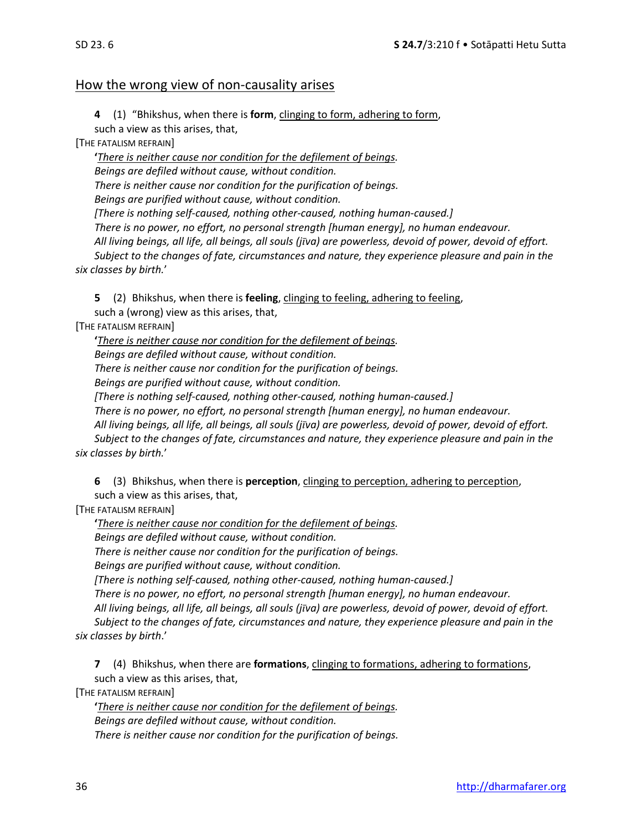#### How the wrong view of non-causality arises

**4** (1) "Bhikshus, when there is **form**, clinging to form, adhering to form, such a view as this arises, that,

[THE FATALISM REFRAIN]

**'***There is neither cause nor condition for the defilement of beings. Beings are defiled without cause, without condition. There is neither cause nor condition for the purification of beings. Beings are purified without cause, without condition. [There is nothing self-caused, nothing other-caused, nothing human-caused.] There is no power, no effort, no personal strength [human energy], no human endeavour. All living beings, all life, all beings, all souls (jva) are powerless, devoid of power, devoid of effort. Subject to the changes of fate, circumstances and nature, they experience pleasure and pain in the six classes by birth.*'

**5** (2) Bhikshus, when there is **feeling**, clinging to feeling, adhering to feeling, such a (wrong) view as this arises, that,

[THE FATALISM REFRAIN]

**'***There is neither cause nor condition for the defilement of beings. Beings are defiled without cause, without condition. There is neither cause nor condition for the purification of beings. Beings are purified without cause, without condition.* 

*[There is nothing self-caused, nothing other-caused, nothing human-caused.]* 

*There is no power, no effort, no personal strength [human energy], no human endeavour.* 

*All living beings, all life, all beings, all souls (jva) are powerless, devoid of power, devoid of effort. Subject to the changes of fate, circumstances and nature, they experience pleasure and pain in the six classes by birth.*'

**6** (3) Bhikshus, when there is **perception**, clinging to perception, adhering to perception, such a view as this arises, that,

[THE FATALISM REFRAIN]

**'***There is neither cause nor condition for the defilement of beings.*

*Beings are defiled without cause, without condition.* 

*There is neither cause nor condition for the purification of beings.* 

*Beings are purified without cause, without condition.* 

*[There is nothing self-caused, nothing other-caused, nothing human-caused.]* 

*There is no power, no effort, no personal strength [human energy], no human endeavour.* 

*All living beings, all life, all beings, all souls (jva) are powerless, devoid of power, devoid of effort.* 

*Subject to the changes of fate, circumstances and nature, they experience pleasure and pain in the six classes by birth*.'

**7** (4) Bhikshus, when there are **formations**, clinging to formations, adhering to formations, such a view as this arises, that,

[THE FATALISM REFRAIN]

**'***There is neither cause nor condition for the defilement of beings. Beings are defiled without cause, without condition. There is neither cause nor condition for the purification of beings.*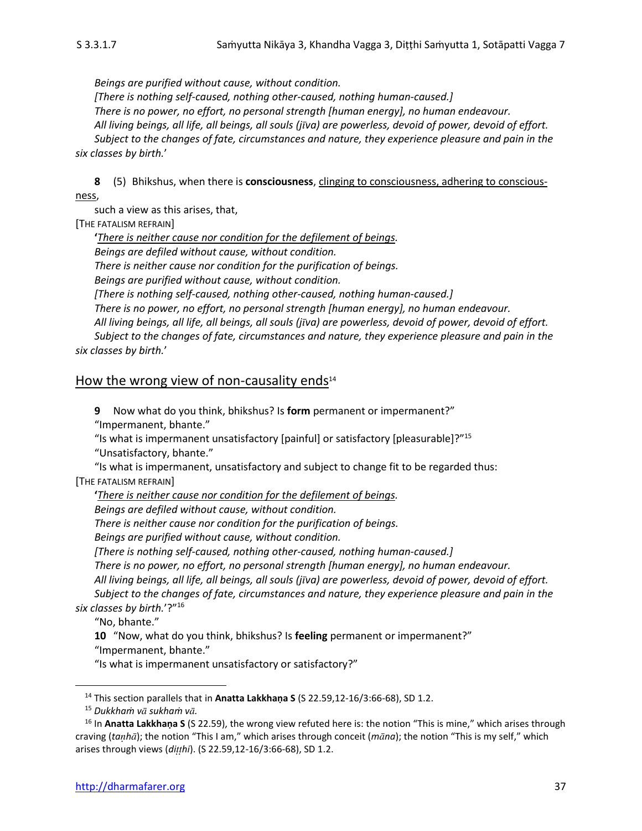*Beings are purified without cause, without condition.* 

*[There is nothing self-caused, nothing other-caused, nothing human-caused.] There is no power, no effort, no personal strength [human energy], no human endeavour. All living beings, all life, all beings, all souls (jva) are powerless, devoid of power, devoid of effort. Subject to the changes of fate, circumstances and nature, they experience pleasure and pain in the six classes by birth.*'

**8** (5) Bhikshus, when there is **consciousness**, clinging to consciousness, adhering to consciousness,

such a view as this arises, that,

[THE FATALISM REFRAIN]

**'***There is neither cause nor condition for the defilement of beings. Beings are defiled without cause, without condition. There is neither cause nor condition for the purification of beings. Beings are purified without cause, without condition. [There is nothing self-caused, nothing other-caused, nothing human-caused.] There is no power, no effort, no personal strength [human energy], no human endeavour. All living beings, all life, all beings, all souls (jva) are powerless, devoid of power, devoid of effort. Subject to the changes of fate, circumstances and nature, they experience pleasure and pain in the six classes by birth.*'

#### How the wrong view of non-causality ends $14$

**9** Now what do you think, bhikshus? Is **form** permanent or impermanent?" "Impermanent, bhante."

"Is what is impermanent unsatisfactory [painful] or satisfactory [pleasurable]?"<sup>15</sup>

"Unsatisfactory, bhante."

"Is what is impermanent, unsatisfactory and subject to change fit to be regarded thus: [THE FATALISM REFRAIN]

**'***There is neither cause nor condition for the defilement of beings.*

*Beings are defiled without cause, without condition.* 

*There is neither cause nor condition for the purification of beings.* 

*Beings are purified without cause, without condition.* 

*[There is nothing self-caused, nothing other-caused, nothing human-caused.]* 

*There is no power, no effort, no personal strength [human energy], no human endeavour.* 

*All living beings, all life, all beings, all souls (jva) are powerless, devoid of power, devoid of effort.* 

*Subject to the changes of fate, circumstances and nature, they experience pleasure and pain in the six classes by birth.*'?"<sup>16</sup>

"No, bhante."

**10** "Now, what do you think, bhikshus? Is **feeling** permanent or impermanent?" "Impermanent, bhante."

"Is what is impermanent unsatisfactory or satisfactory?"

<sup>14</sup> This section parallels that in **Anatta Lakkhaṇa S** (S 22.59,12-16/3:66-68), SD 1.2.

<sup>15</sup> *Dukkhaṁ v sukhaṁ v.*

<sup>&</sup>lt;sup>16</sup> In **Anatta Lakkhana S** (S 22.59), the wrong view refuted here is: the notion "This is mine," which arises through craving (*tah*); the notion "This I am," which arises through conceit (*mna*); the notion "This is my self," which arises through views (*dihi*). (S 22.59,12-16/3:66-68), SD 1.2.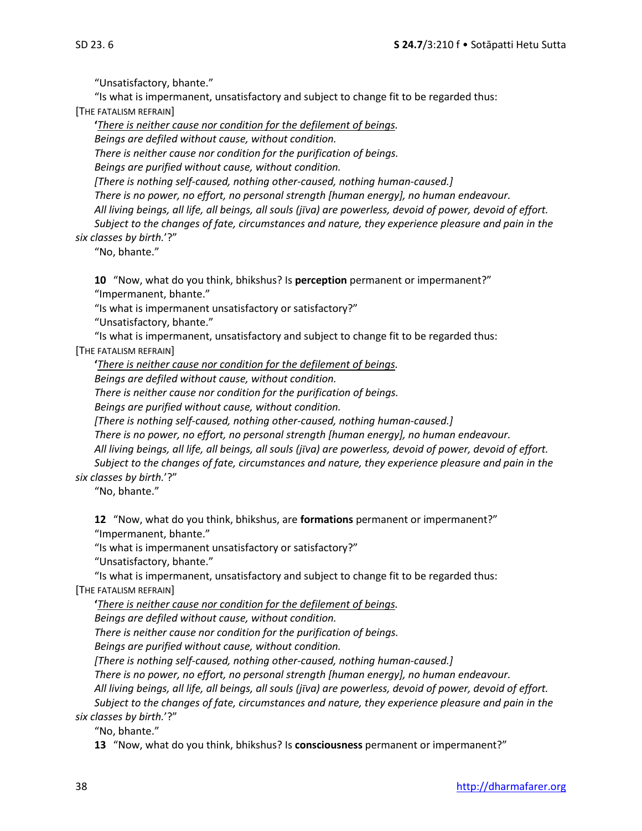"Unsatisfactory, bhante."

"Is what is impermanent, unsatisfactory and subject to change fit to be regarded thus:

[THE FATALISM REFRAIN]

**'***There is neither cause nor condition for the defilement of beings. Beings are defiled without cause, without condition. There is neither cause nor condition for the purification of beings. Beings are purified without cause, without condition. [There is nothing self-caused, nothing other-caused, nothing human-caused.] There is no power, no effort, no personal strength [human energy], no human endeavour. All living beings, all life, all beings, all souls (jva) are powerless, devoid of power, devoid of effort. Subject to the changes of fate, circumstances and nature, they experience pleasure and pain in the six classes by birth.*'?"

"No, bhante."

**10** "Now, what do you think, bhikshus? Is **perception** permanent or impermanent?" "Impermanent, bhante."

"Is what is impermanent unsatisfactory or satisfactory?"

"Unsatisfactory, bhante."

"Is what is impermanent, unsatisfactory and subject to change fit to be regarded thus:

[THE FATALISM REFRAIN]

**'***There is neither cause nor condition for the defilement of beings.*

*Beings are defiled without cause, without condition.* 

*There is neither cause nor condition for the purification of beings.* 

*Beings are purified without cause, without condition.* 

*[There is nothing self-caused, nothing other-caused, nothing human-caused.]* 

*There is no power, no effort, no personal strength [human energy], no human endeavour. All living beings, all life, all beings, all souls (jva) are powerless, devoid of power, devoid of effort. Subject to the changes of fate, circumstances and nature, they experience pleasure and pain in the* 

*six classes by birth.*'?"

"No, bhante."

**12** "Now, what do you think, bhikshus, are **formations** permanent or impermanent?" "Impermanent, bhante."

"Is what is impermanent unsatisfactory or satisfactory?"

"Unsatisfactory, bhante."

"Is what is impermanent, unsatisfactory and subject to change fit to be regarded thus: [THE FATALISM REFRAIN]

**'***There is neither cause nor condition for the defilement of beings.*

*Beings are defiled without cause, without condition.* 

*There is neither cause nor condition for the purification of beings.* 

*Beings are purified without cause, without condition.* 

*[There is nothing self-caused, nothing other-caused, nothing human-caused.]* 

*There is no power, no effort, no personal strength [human energy], no human endeavour.* 

*All living beings, all life, all beings, all souls (jva) are powerless, devoid of power, devoid of effort. Subject to the changes of fate, circumstances and nature, they experience pleasure and pain in the* 

*six classes by birth.*'?"

"No, bhante."

**13** "Now, what do you think, bhikshus? Is **consciousness** permanent or impermanent?"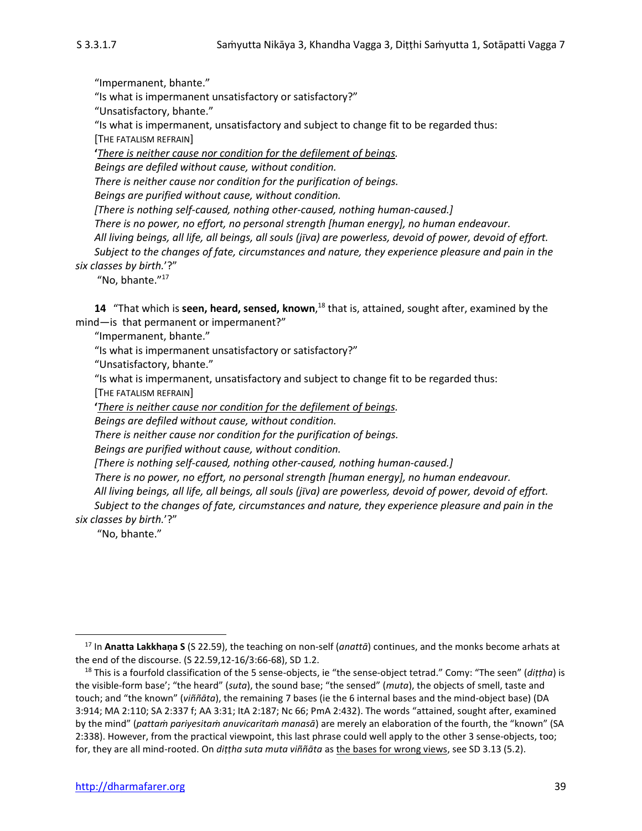"Impermanent, bhante."

"Is what is impermanent unsatisfactory or satisfactory?"

"Unsatisfactory, bhante."

"Is what is impermanent, unsatisfactory and subject to change fit to be regarded thus: [THE FATALISM REFRAIN]

**'***There is neither cause nor condition for the defilement of beings.*

*Beings are defiled without cause, without condition.* 

*There is neither cause nor condition for the purification of beings.* 

*Beings are purified without cause, without condition.* 

*[There is nothing self-caused, nothing other-caused, nothing human-caused.]* 

*There is no power, no effort, no personal strength [human energy], no human endeavour.* 

*All living beings, all life, all beings, all souls (jva) are powerless, devoid of power, devoid of effort.* 

*Subject to the changes of fate, circumstances and nature, they experience pleasure and pain in the six classes by birth.*'?"

"No, bhante."<sup>17</sup>

**14** "That which is **seen, heard, sensed, known**,<sup>18</sup> that is, attained, sought after, examined by the mind—is that permanent or impermanent?"

"Impermanent, bhante."

"Is what is impermanent unsatisfactory or satisfactory?"

"Unsatisfactory, bhante."

"Is what is impermanent, unsatisfactory and subject to change fit to be regarded thus:

[THE FATALISM REFRAIN]

**'***There is neither cause nor condition for the defilement of beings.*

*Beings are defiled without cause, without condition.* 

*There is neither cause nor condition for the purification of beings.* 

*Beings are purified without cause, without condition.* 

*[There is nothing self-caused, nothing other-caused, nothing human-caused.]* 

*There is no power, no effort, no personal strength [human energy], no human endeavour.* 

*All living beings, all life, all beings, all souls (jva) are powerless, devoid of power, devoid of effort.* 

*Subject to the changes of fate, circumstances and nature, they experience pleasure and pain in the six classes by birth.*'?"

"No, bhante."

<sup>17</sup> In **Anatta Lakkhaṇa S** (S 22.59), the teaching on non-self (*anattā*) continues, and the monks become arhats at the end of the discourse. (S 22.59,12-16/3:66-68), SD 1.2.

<sup>18</sup> This is a fourfold classification of the 5 sense-objects, ie "the sense-object tetrad." Comy: "The seen" (*diṭṭha*) is the visible-form base'; "the heard" (*suta*), the sound base; "the sensed" (*muta*), the objects of smell, taste and touch; and "the known" (*viññāta*), the remaining 7 bases (ie the 6 internal bases and the mind-object base) (DA 3:914; MA 2:110; SA 2:337 f; AA 3:31; ItA 2:187; Nc 66; PmA 2:432). The words "attained, sought after, examined by the mind" (*pattaṁ pariyesitaṁ anuvicaritaṁ manasā*) are merely an elaboration of the fourth, the "known" (SA 2:338). However, from the practical viewpoint, this last phrase could well apply to the other 3 sense-objects, too; for, they are all mind-rooted. On *diṭṭha suta muta viññāta* as the bases for wrong views, see SD 3.13 (5.2).